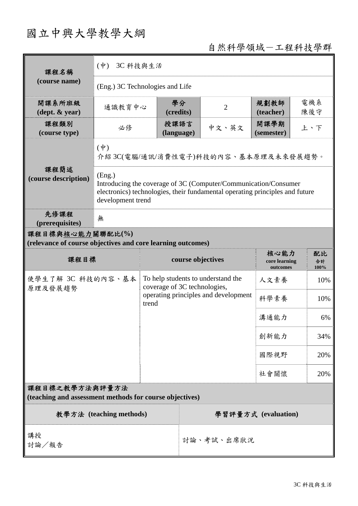## 國立中興大學教學大綱

自然科學領域-工程科技學群

| 課程名稱                                                                            | $(\dot{\Psi})$<br>3C 科技與生活                                                                                                                                                     |                                                                                                                     |                    |                     |                                   |                    |            |  |
|---------------------------------------------------------------------------------|--------------------------------------------------------------------------------------------------------------------------------------------------------------------------------|---------------------------------------------------------------------------------------------------------------------|--------------------|---------------------|-----------------------------------|--------------------|------------|--|
| (course name)                                                                   | (Eng.) 3C Technologies and Life                                                                                                                                                |                                                                                                                     |                    |                     |                                   |                    |            |  |
| 開課系所班級<br>$(\text{dept.} \& \text{ year})$                                      | 通識教育中心                                                                                                                                                                         |                                                                                                                     | 學分<br>(credits)    |                     | $\overline{2}$                    | 規劃教師<br>(teacher)  | 電機系<br>陳後守 |  |
| 課程類別<br>(course type)                                                           | 必修                                                                                                                                                                             |                                                                                                                     | 授課語言<br>(language) |                     | 中文、英文                             | 開課學期<br>(semester) | 上、下        |  |
| 課程簡述<br>(course description)                                                    | $(\phi)$<br>介紹3C(電腦/通訊/消費性電子)科技的內容、基本原理及未來發展趨勢。                                                                                                                                |                                                                                                                     |                    |                     |                                   |                    |            |  |
|                                                                                 | (Eng.)<br>Introducing the coverage of 3C (Computer/Communication/Consumer<br>electronics) technologies, their fundamental operating principles and future<br>development trend |                                                                                                                     |                    |                     |                                   |                    |            |  |
| 先修課程<br>(prerequisites)                                                         | 無                                                                                                                                                                              |                                                                                                                     |                    |                     |                                   |                    |            |  |
| 課程目標與核心能力關聯配比(%)<br>(relevance of course objectives and core learning outcomes) |                                                                                                                                                                                |                                                                                                                     |                    |                     |                                   |                    |            |  |
| 課程目標                                                                            |                                                                                                                                                                                | course objectives                                                                                                   |                    |                     | 核心能力<br>core learning<br>outcomes | 配比<br>合計<br>100%   |            |  |
| 使學生了解 3C 科技的内容、基本<br>原理及發展趨勢                                                    |                                                                                                                                                                                | To help students to understand the<br>coverage of 3C technologies,<br>operating principles and development<br>trend |                    |                     | 人文素養                              | 10%                |            |  |
|                                                                                 |                                                                                                                                                                                |                                                                                                                     |                    |                     | 科學素養                              | 10%                |            |  |
|                                                                                 |                                                                                                                                                                                |                                                                                                                     |                    |                     | 溝通能力                              | 6%                 |            |  |
|                                                                                 |                                                                                                                                                                                |                                                                                                                     |                    |                     | 創新能力                              | 34%                |            |  |
|                                                                                 |                                                                                                                                                                                |                                                                                                                     |                    | 國際視野                | 20%                               |                    |            |  |
|                                                                                 |                                                                                                                                                                                |                                                                                                                     |                    |                     |                                   | 社會關懷               | 20%        |  |
| 課程目標之教學方法與評量方法<br>(teaching and assessment methods for course objectives)       |                                                                                                                                                                                |                                                                                                                     |                    |                     |                                   |                    |            |  |
| 教學方法 (teaching methods)                                                         |                                                                                                                                                                                |                                                                                                                     |                    | 學習評量方式 (evaluation) |                                   |                    |            |  |
| 講授<br>討論/報告                                                                     |                                                                                                                                                                                |                                                                                                                     |                    | 討論、考試、出席狀況          |                                   |                    |            |  |